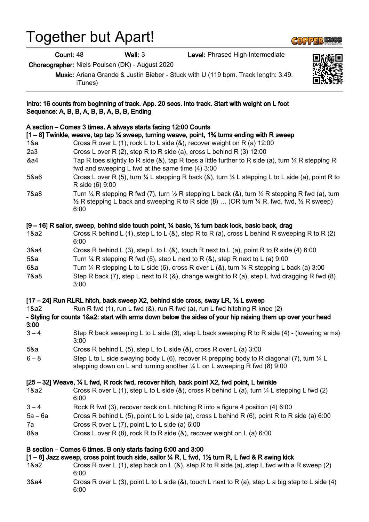## Together but Apart!

Choreographer: Niels Poulsen (DK) - August 2020

Music: Ariana Grande & Justin Bieber - Stuck with U (119 bpm. Track length: 3.49. iTunes)

Intro: 16 counts from beginning of track. App. 20 secs. into track. Start with weight on L foot

# Count: 48 Wall: 3 Level: Phrased High Intermediate

| Sequence: A, B, B, A, B, B, A, B, B, Ending                                                                                                                                                                                                                                                  |                                                                                                                                                                                                                                                                      |
|----------------------------------------------------------------------------------------------------------------------------------------------------------------------------------------------------------------------------------------------------------------------------------------------|----------------------------------------------------------------------------------------------------------------------------------------------------------------------------------------------------------------------------------------------------------------------|
| 1&a                                                                                                                                                                                                                                                                                          | A section – Comes 3 times. A always starts facing 12:00 Counts<br>$[1 - 8]$ Twinkle, weave, tap tap 1⁄4 sweep, turning weave, point, 1% turns ending with R sweep<br>Cross R over L (1), rock L to L side (&), recover weight on R (a) 12:00                         |
| 2a3                                                                                                                                                                                                                                                                                          | Cross L over R (2), step R to R side (a), cross L behind R (3) 12:00                                                                                                                                                                                                 |
| &a4                                                                                                                                                                                                                                                                                          | Tap R toes slightly to R side (&), tap R toes a little further to R side (a), turn $\frac{1}{4}$ R stepping R<br>fwd and sweeping L fwd at the same time (4) 3:00                                                                                                    |
| 5&a6                                                                                                                                                                                                                                                                                         | Cross L over R (5), turn $\frac{1}{4}$ L stepping R back (&), turn $\frac{1}{4}$ L stepping L to L side (a), point R to<br>R side (6) 9:00                                                                                                                           |
| 7&a8                                                                                                                                                                                                                                                                                         | Turn $\frac{1}{4}$ R stepping R fwd (7), turn $\frac{1}{2}$ R stepping L back (&), turn $\frac{1}{2}$ R stepping R fwd (a), turn<br>$\frac{1}{2}$ R stepping L back and sweeping R to R side (8)  (OR turn $\frac{1}{4}$ R, fwd, fwd, $\frac{1}{2}$ R sweep)<br>6:00 |
| [9 – 16] R sailor, sweep, behind side touch point, ¼ basic, ½ turn back lock, basic back, drag                                                                                                                                                                                               |                                                                                                                                                                                                                                                                      |
| 1&a2                                                                                                                                                                                                                                                                                         | Cross R behind L (1), step L to L (8), step R to R (a), cross L behind R sweeping R to R (2)<br>6:00                                                                                                                                                                 |
| 3&a4                                                                                                                                                                                                                                                                                         | Cross R behind L (3), step L to L (&), touch R next to L (a), point R to R side (4) 6:00                                                                                                                                                                             |
| 5&a                                                                                                                                                                                                                                                                                          | Turn $\frac{1}{4}$ R stepping R fwd (5), step L next to R (&), step R next to L (a) 9:00                                                                                                                                                                             |
| 6&a                                                                                                                                                                                                                                                                                          | Turn $\frac{1}{4}$ R stepping L to L side (6), cross R over L (&), turn $\frac{1}{4}$ R stepping L back (a) 3:00                                                                                                                                                     |
| 7&a8                                                                                                                                                                                                                                                                                         | Step R back (7), step L next to R (&), change weight to R (a), step L fwd dragging R fwd (8)<br>3:00                                                                                                                                                                 |
| [17 – 24] Run RLRL hitch, back sweep X2, behind side cross, sway LR, 1/2 L sweep<br>Run R fwd (1), run L fwd (8), run R fwd (a), run L fwd hitching R knee (2)<br>1&a2<br>- Styling for counts 1&a2: start with arms down below the sides of your hip raising them up over your head<br>3:00 |                                                                                                                                                                                                                                                                      |
| $3 - 4$                                                                                                                                                                                                                                                                                      | Step R back sweeping L to L side (3), step L back sweeping R to R side (4) - (lowering arms)<br>3:00                                                                                                                                                                 |
| 5&a                                                                                                                                                                                                                                                                                          | Cross R behind L (5), step L to L side $(8)$ , cross R over L (a) 3:00                                                                                                                                                                                               |
| $6 - 8$                                                                                                                                                                                                                                                                                      | Step L to L side swaying body L (6), recover R prepping body to R diagonal (7), turn $\frac{1}{4}$ L<br>stepping down on L and turning another $\frac{1}{4}$ L on L sweeping R fwd (8) 9:00                                                                          |
| [25 – 32] Weave, 1/4 L fwd, R rock fwd, recover hitch, back point X2, fwd point, L twinkle                                                                                                                                                                                                   |                                                                                                                                                                                                                                                                      |
| 1&a2                                                                                                                                                                                                                                                                                         | Cross R over L (1), step L to L side (&), cross R behind L (a), turn $\frac{1}{4}$ L stepping L fwd (2)<br>6:00                                                                                                                                                      |
| $3 - 4$                                                                                                                                                                                                                                                                                      | Rock R fwd (3), recover back on L hitching R into a figure 4 position (4) 6:00                                                                                                                                                                                       |
| $5a - 6a$                                                                                                                                                                                                                                                                                    | Cross R behind L (5), point L to L side (a), cross L behind R (6), point R to R side (a) 6:00                                                                                                                                                                        |
| 7a                                                                                                                                                                                                                                                                                           | Cross R over L $(7)$ , point L to L side $(a)$ 6:00                                                                                                                                                                                                                  |
| 8&a                                                                                                                                                                                                                                                                                          | Cross L over R (8), rock R to R side (&), recover weight on L (a) 6:00                                                                                                                                                                                               |
| B section – Comes 6 times. B only starts facing 6:00 and 3:00<br>[1 - 8] Jazz sweep, cross point touch side, sailor 1/4 R, L fwd, 11/2 turn R, L fwd & R swing kick<br>Cross R over L (1), step back on L (&), step R to R side (a), step L fwd with a R sweep (2)<br>1&a2<br>6:00           |                                                                                                                                                                                                                                                                      |
| 3&a4                                                                                                                                                                                                                                                                                         | Cross R over L (3), point L to L side (&), touch L next to R (a), step L a big step to L side (4)<br>6:00                                                                                                                                                            |